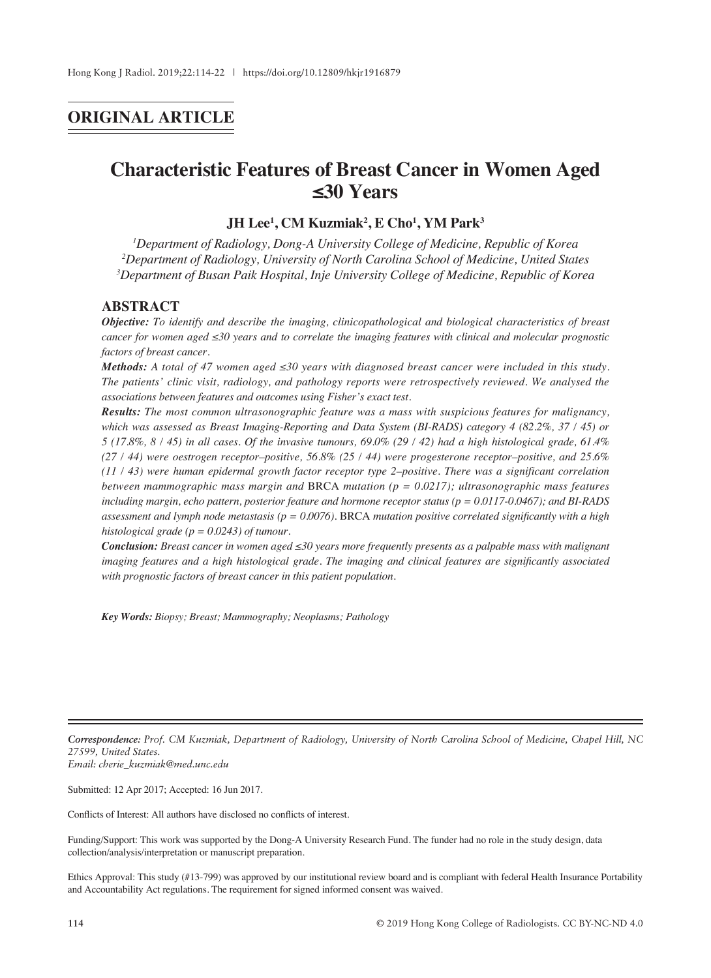## **ORIGINAL ARTICLE**

# **Characteristic Features of Breast Cancer in Women Aged ≤30 Years**

## $JH$  Lee<sup>1</sup>, CM Kuzmiak<sup>2</sup>, E Cho<sup>1</sup>, YM Park<sup>3</sup>

*1 Department of Radiology, Dong-A University College of Medicine, Republic of Korea 2 Department of Radiology, University of North Carolina School of Medicine, United States 3 Department of Busan Paik Hospital, Inje University College of Medicine, Republic of Korea*

#### **ABSTRACT**

*Objective: To identify and describe the imaging, clinicopathological and biological characteristics of breast cancer for women aged ≤30 years and to correlate the imaging features with clinical and molecular prognostic factors of breast cancer.*

*Methods: A total of 47 women aged ≤30 years with diagnosed breast cancer were included in this study. The patients' clinic visit, radiology, and pathology reports were retrospectively reviewed. We analysed the associations between features and outcomes using Fisher's exact test.*

*Results: The most common ultrasonographic feature was a mass with suspicious features for malignancy, which was assessed as Breast Imaging-Reporting and Data System (BI-RADS) category 4 (82.2%, 37 / 45) or 5 (17.8%, 8 / 45) in all cases. Of the invasive tumours, 69.0% (29 / 42) had a high histological grade, 61.4% (27 / 44) were oestrogen receptor–positive, 56.8% (25 / 44) were progesterone receptor–positive, and 25.6% (11 / 43) were human epidermal growth factor receptor type 2–positive. There was a significant correlation between mammographic mass margin and* BRCA *mutation (p = 0.0217); ultrasonographic mass features including margin, echo pattern, posterior feature and hormone receptor status (p = 0.0117-0.0467); and BI-RADS assessment and lymph node metastasis (p = 0.0076).* BRCA *mutation positive correlated significantly with a high histological grade (p = 0.0243) of tumour.*

*Conclusion: Breast cancer in women aged ≤30 years more frequently presents as a palpable mass with malignant imaging features and a high histological grade. The imaging and clinical features are significantly associated with prognostic factors of breast cancer in this patient population.*

*Key Words: Biopsy; Breast; Mammography; Neoplasms; Pathology*

*Correspondence: Prof. CM Kuzmiak, Department of Radiology, University of North Carolina School of Medicine, Chapel Hill, NC 27599, United States. Email: cherie\_kuzmiak@med.unc.edu*

Submitted: 12 Apr 2017; Accepted: 16 Jun 2017.

Conflicts of Interest: All authors have disclosed no conflicts of interest.

Funding/Support: This work was supported by the Dong-A University Research Fund. The funder had no role in the study design, data collection/analysis/interpretation or manuscript preparation.

Ethics Approval: This study (#13-799) was approved by our institutional review board and is compliant with federal Health Insurance Portability and Accountability Act regulations. The requirement for signed informed consent was waived.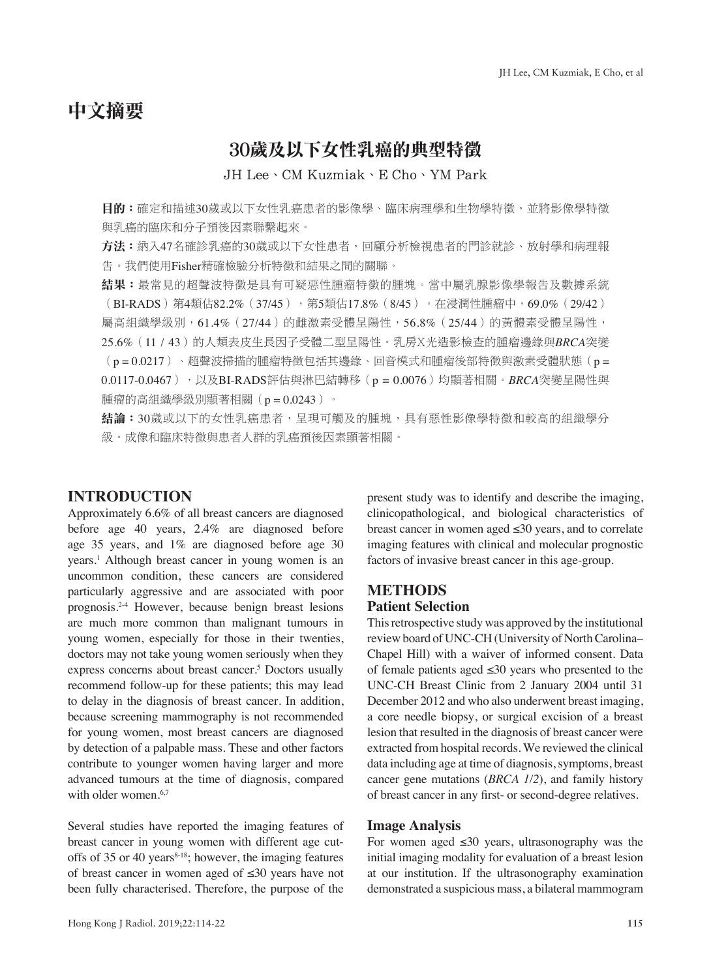# 中文摘要

## 30歲及以下女性乳癌的典型特徵

JH Lee、CM Kuzmiak、E Cho、YM Park

目的:確定和描述30歲或以下女性乳癌患者的影像學、臨床病理學和生物學特徵,並將影像學特徵 與乳癌的臨床和分子預後因素聯繫起來。

方法:納入47名確診乳癌的30歲或以下女性患者,回顧分析檢視患者的門診就診、放射學和病理報 告。我們使用Fisher精確檢驗分析特徵和結果之間的關聯。

結果:最常見的超聲波特徵是具有可疑惡性腫瘤特徵的腫塊。當中屬乳腺影像學報告及數據系統 (BI-RADS)第4類佔82.2%(37/45),第5類佔17.8%(8/45)。在浸潤性腫瘤中,69.0%(29/42) 屬高組織學級別,61.4%(27/44)的雌激素受體呈陽性,56.8%(25/44)的黃體素受體呈陽性, 25.6%(11 / 43)的人類表皮生長因子受體二型呈陽性。乳房X光造影檢查的腫瘤邊緣與*BRCA*突變 (p = 0.0217)、超聲波掃描的腫瘤特徵包括其邊緣、回音模式和腫瘤後部特徵與激素受體狀態(p = 0.0117-0.0467),以及BI-RADS評估與淋巴結轉移(p = 0.0076)均顯著相關。*BRCA*突變呈陽性與 腫瘤的高組織學級別顯著相關(p=0.0243)。

結論:30歲或以下的女性乳癌患者,呈現可觸及的腫塊,具有惡性影像學特徵和較高的組織學分 級。成像和臨床特徵與患者人群的乳癌預後因素顯著相關。

#### **INTRODUCTION**

Approximately 6.6% of all breast cancers are diagnosed before age 40 years, 2.4% are diagnosed before age 35 years, and 1% are diagnosed before age 30 years.1 Although breast cancer in young women is an uncommon condition, these cancers are considered particularly aggressive and are associated with poor prognosis.2-4 However, because benign breast lesions are much more common than malignant tumours in young women, especially for those in their twenties, doctors may not take young women seriously when they express concerns about breast cancer.<sup>5</sup> Doctors usually recommend follow-up for these patients; this may lead to delay in the diagnosis of breast cancer. In addition, because screening mammography is not recommended for young women, most breast cancers are diagnosed by detection of a palpable mass. These and other factors contribute to younger women having larger and more advanced tumours at the time of diagnosis, compared with older women.<sup>6,7</sup>

Several studies have reported the imaging features of breast cancer in young women with different age cutoffs of 35 or 40 years<sup>8-18</sup>; however, the imaging features of breast cancer in women aged of ≤30 years have not been fully characterised. Therefore, the purpose of the

present study was to identify and describe the imaging, clinicopathological, and biological characteristics of breast cancer in women aged ≤30 years, and to correlate imaging features with clinical and molecular prognostic factors of invasive breast cancer in this age-group.

#### **METHODS Patient Selection**

This retrospective study was approved by the institutional review board of UNC-CH (University of North Carolina– Chapel Hill) with a waiver of informed consent. Data of female patients aged ≤30 years who presented to the UNC-CH Breast Clinic from 2 January 2004 until 31 December 2012 and who also underwent breast imaging, a core needle biopsy, or surgical excision of a breast lesion that resulted in the diagnosis of breast cancer were extracted from hospital records. We reviewed the clinical data including age at time of diagnosis, symptoms, breast cancer gene mutations (*BRCA 1/2*), and family history of breast cancer in any first- or second-degree relatives.

#### **Image Analysis**

For women aged  $\leq 30$  years, ultrasonography was the initial imaging modality for evaluation of a breast lesion at our institution. If the ultrasonography examination demonstrated a suspicious mass, a bilateral mammogram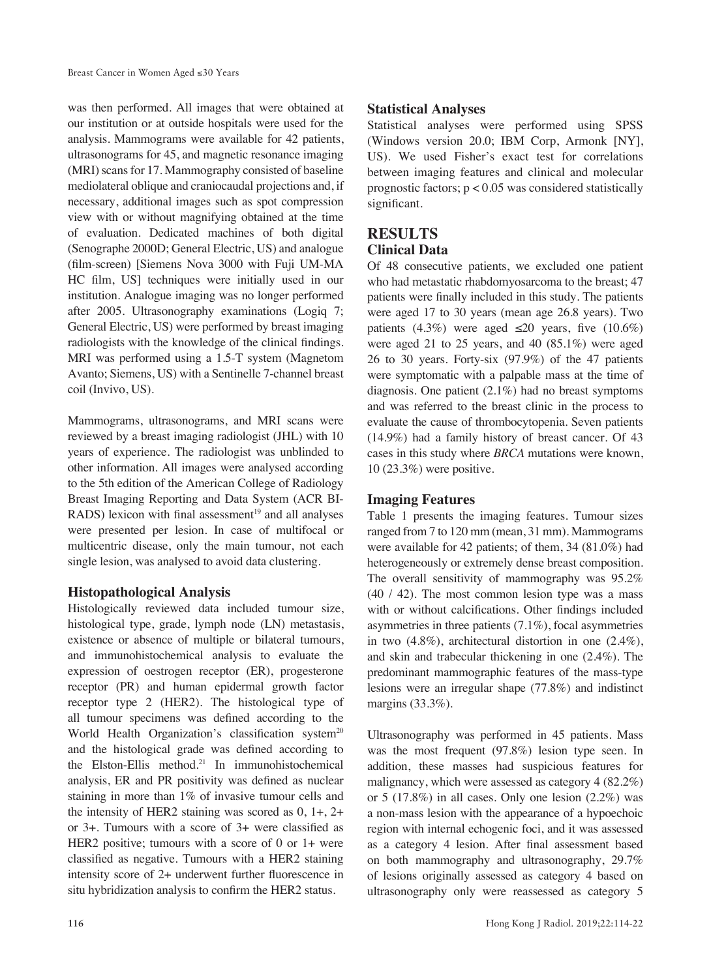was then performed. All images that were obtained at our institution or at outside hospitals were used for the analysis. Mammograms were available for 42 patients, ultrasonograms for 45, and magnetic resonance imaging (MRI) scans for 17. Mammography consisted of baseline mediolateral oblique and craniocaudal projections and, if necessary, additional images such as spot compression view with or without magnifying obtained at the time of evaluation. Dedicated machines of both digital (Senographe 2000D; General Electric, US) and analogue (film-screen) [Siemens Nova 3000 with Fuji UM-MA HC film, US] techniques were initially used in our institution. Analogue imaging was no longer performed after 2005. Ultrasonography examinations (Logiq 7; General Electric, US) were performed by breast imaging radiologists with the knowledge of the clinical findings. MRI was performed using a 1.5-T system (Magnetom Avanto; Siemens, US) with a Sentinelle 7-channel breast coil (Invivo, US).

Mammograms, ultrasonograms, and MRI scans were reviewed by a breast imaging radiologist (JHL) with 10 years of experience. The radiologist was unblinded to other information. All images were analysed according to the 5th edition of the American College of Radiology Breast Imaging Reporting and Data System (ACR BI-RADS) lexicon with final assessment $19$  and all analyses were presented per lesion. In case of multifocal or multicentric disease, only the main tumour, not each single lesion, was analysed to avoid data clustering.

## **Histopathological Analysis**

Histologically reviewed data included tumour size, histological type, grade, lymph node (LN) metastasis, existence or absence of multiple or bilateral tumours, and immunohistochemical analysis to evaluate the expression of oestrogen receptor (ER), progesterone receptor (PR) and human epidermal growth factor receptor type 2 (HER2). The histological type of all tumour specimens was defined according to the World Health Organization's classification system<sup>20</sup> and the histological grade was defined according to the Elston-Ellis method.<sup>21</sup> In immunohistochemical analysis, ER and PR positivity was defined as nuclear staining in more than 1% of invasive tumour cells and the intensity of HER2 staining was scored as 0, 1+, 2+ or 3+. Tumours with a score of 3+ were classified as HER2 positive; tumours with a score of 0 or 1+ were classified as negative. Tumours with a HER2 staining intensity score of 2+ underwent further fluorescence in situ hybridization analysis to confirm the HER2 status.

## **Statistical Analyses**

Statistical analyses were performed using SPSS (Windows version 20.0; IBM Corp, Armonk [NY], US). We used Fisher's exact test for correlations between imaging features and clinical and molecular prognostic factors;  $p < 0.05$  was considered statistically significant.

## **RESULTS Clinical Data**

Of 48 consecutive patients, we excluded one patient who had metastatic rhabdomyosarcoma to the breast; 47 patients were finally included in this study. The patients were aged 17 to 30 years (mean age 26.8 years). Two patients (4.3%) were aged  $\leq 20$  years, five (10.6%) were aged 21 to 25 years, and 40 (85.1%) were aged 26 to 30 years. Forty-six (97.9%) of the 47 patients were symptomatic with a palpable mass at the time of diagnosis. One patient (2.1%) had no breast symptoms and was referred to the breast clinic in the process to evaluate the cause of thrombocytopenia. Seven patients (14.9%) had a family history of breast cancer. Of 43 cases in this study where *BRCA* mutations were known, 10 (23.3%) were positive.

## **Imaging Features**

Table 1 presents the imaging features. Tumour sizes ranged from 7 to 120 mm (mean, 31 mm). Mammograms were available for 42 patients; of them, 34 (81.0%) had heterogeneously or extremely dense breast composition. The overall sensitivity of mammography was 95.2% (40 / 42). The most common lesion type was a mass with or without calcifications. Other findings included asymmetries in three patients (7.1%), focal asymmetries in two (4.8%), architectural distortion in one (2.4%), and skin and trabecular thickening in one (2.4%). The predominant mammographic features of the mass-type lesions were an irregular shape (77.8%) and indistinct margins (33.3%).

Ultrasonography was performed in 45 patients. Mass was the most frequent (97.8%) lesion type seen. In addition, these masses had suspicious features for malignancy, which were assessed as category 4 (82.2%) or 5 (17.8%) in all cases. Only one lesion (2.2%) was a non-mass lesion with the appearance of a hypoechoic region with internal echogenic foci, and it was assessed as a category 4 lesion. After final assessment based on both mammography and ultrasonography, 29.7% of lesions originally assessed as category 4 based on ultrasonography only were reassessed as category 5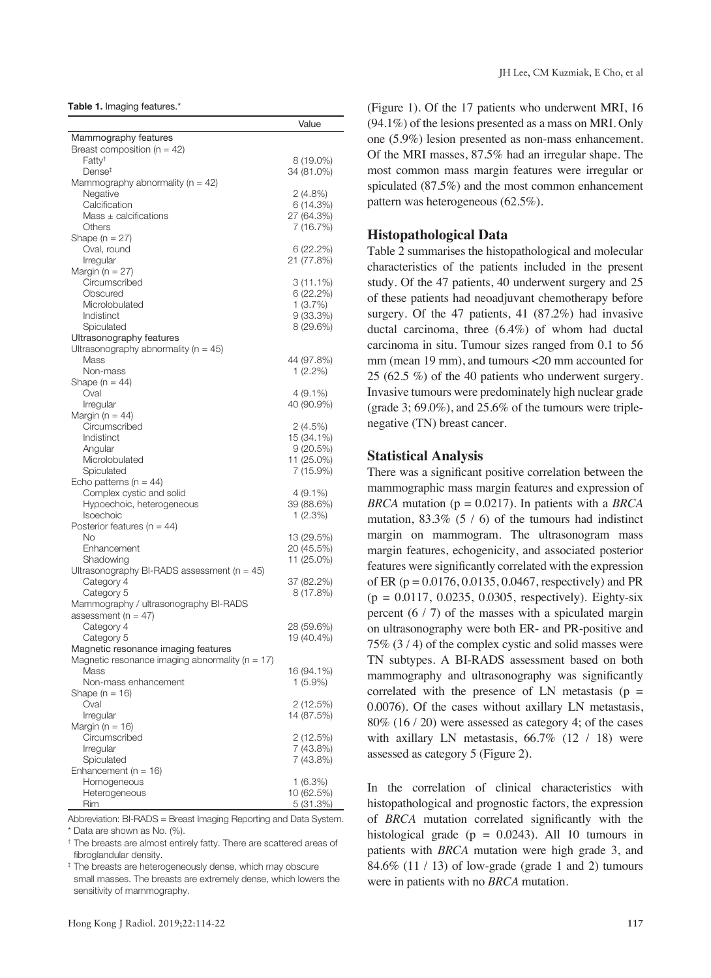**Table 1.** Imaging features.\*

| Mammography features<br>Breast composition ( $n = 42$ )<br>Fatty <sup>+</sup><br>8 (19.0%)<br>Dense <sup>‡</sup><br>34 (81.0%)<br>Mammography abnormality ( $n = 42$ )<br>Negative<br>$2(4.8\%)$<br>Calcification<br>6(14.3%)<br>Mass ± calcifications<br>27 (64.3%)<br>7 (16.7%)<br>Others<br>Shape ( $n = 27$ )<br>Oval, round<br>6(22.2%)<br>Irregular<br>21 (77.8%)<br>Margin ( $n = 27$ )<br>Circumscribed<br>3 (11.1%)<br>6(22.2%)<br>Obscured<br>1(3.7%)<br>Microlobulated<br>Indistinct<br>$9(33.3\%)$<br>Spiculated<br>8(29.6%) |
|------------------------------------------------------------------------------------------------------------------------------------------------------------------------------------------------------------------------------------------------------------------------------------------------------------------------------------------------------------------------------------------------------------------------------------------------------------------------------------------------------------------------------------------|
|                                                                                                                                                                                                                                                                                                                                                                                                                                                                                                                                          |
|                                                                                                                                                                                                                                                                                                                                                                                                                                                                                                                                          |
|                                                                                                                                                                                                                                                                                                                                                                                                                                                                                                                                          |
|                                                                                                                                                                                                                                                                                                                                                                                                                                                                                                                                          |
|                                                                                                                                                                                                                                                                                                                                                                                                                                                                                                                                          |
|                                                                                                                                                                                                                                                                                                                                                                                                                                                                                                                                          |
|                                                                                                                                                                                                                                                                                                                                                                                                                                                                                                                                          |
|                                                                                                                                                                                                                                                                                                                                                                                                                                                                                                                                          |
|                                                                                                                                                                                                                                                                                                                                                                                                                                                                                                                                          |
|                                                                                                                                                                                                                                                                                                                                                                                                                                                                                                                                          |
|                                                                                                                                                                                                                                                                                                                                                                                                                                                                                                                                          |
|                                                                                                                                                                                                                                                                                                                                                                                                                                                                                                                                          |
|                                                                                                                                                                                                                                                                                                                                                                                                                                                                                                                                          |
|                                                                                                                                                                                                                                                                                                                                                                                                                                                                                                                                          |
|                                                                                                                                                                                                                                                                                                                                                                                                                                                                                                                                          |
|                                                                                                                                                                                                                                                                                                                                                                                                                                                                                                                                          |
|                                                                                                                                                                                                                                                                                                                                                                                                                                                                                                                                          |
|                                                                                                                                                                                                                                                                                                                                                                                                                                                                                                                                          |
| Ultrasonography features                                                                                                                                                                                                                                                                                                                                                                                                                                                                                                                 |
| Ultrasonography abnormality ( $n = 45$ )                                                                                                                                                                                                                                                                                                                                                                                                                                                                                                 |
| Mass<br>44 (97.8%)                                                                                                                                                                                                                                                                                                                                                                                                                                                                                                                       |
| Non-mass<br>$1(2.2\%)$                                                                                                                                                                                                                                                                                                                                                                                                                                                                                                                   |
| Shape (n = 44)                                                                                                                                                                                                                                                                                                                                                                                                                                                                                                                           |
| Oval<br>$4(9.1\%)$                                                                                                                                                                                                                                                                                                                                                                                                                                                                                                                       |
| 40 (90.9%)<br>Irregular                                                                                                                                                                                                                                                                                                                                                                                                                                                                                                                  |
| Margin ( $n = 44$ )                                                                                                                                                                                                                                                                                                                                                                                                                                                                                                                      |
| Circumscribed<br>2 (4.5%)                                                                                                                                                                                                                                                                                                                                                                                                                                                                                                                |
| Indistinct<br>15 (34.1%)                                                                                                                                                                                                                                                                                                                                                                                                                                                                                                                 |
| 9(20.5%)<br>Angular                                                                                                                                                                                                                                                                                                                                                                                                                                                                                                                      |
| 11 (25.0%)<br>Microlobulated                                                                                                                                                                                                                                                                                                                                                                                                                                                                                                             |
| Spiculated<br>7 (15.9%)                                                                                                                                                                                                                                                                                                                                                                                                                                                                                                                  |
| Echo patterns ( $n = 44$ )                                                                                                                                                                                                                                                                                                                                                                                                                                                                                                               |
| Complex cystic and solid<br>4 (9.1%)                                                                                                                                                                                                                                                                                                                                                                                                                                                                                                     |
| Hypoechoic, heterogeneous<br>39 (88.6%)<br>Isoechoic                                                                                                                                                                                                                                                                                                                                                                                                                                                                                     |
| 1(2.3%)<br>Posterior features (n = 44)                                                                                                                                                                                                                                                                                                                                                                                                                                                                                                   |
| No<br>13 (29.5%)                                                                                                                                                                                                                                                                                                                                                                                                                                                                                                                         |
| Enhancement<br>20 (45.5%)                                                                                                                                                                                                                                                                                                                                                                                                                                                                                                                |
| 11 (25.0%)<br>Shadowing                                                                                                                                                                                                                                                                                                                                                                                                                                                                                                                  |
| Ultrasonography BI-RADS assessment ( $n = 45$ )                                                                                                                                                                                                                                                                                                                                                                                                                                                                                          |
| Category 4<br>37 (82.2%)                                                                                                                                                                                                                                                                                                                                                                                                                                                                                                                 |
| Category 5<br>8 (17.8%)                                                                                                                                                                                                                                                                                                                                                                                                                                                                                                                  |
| Mammography / ultrasonography BI-RADS                                                                                                                                                                                                                                                                                                                                                                                                                                                                                                    |
| assessment ( $n = 47$ )                                                                                                                                                                                                                                                                                                                                                                                                                                                                                                                  |
| Category 4<br>28 (59.6%)                                                                                                                                                                                                                                                                                                                                                                                                                                                                                                                 |
| Category 5<br>19 (40.4%)                                                                                                                                                                                                                                                                                                                                                                                                                                                                                                                 |
| Magnetic resonance imaging features                                                                                                                                                                                                                                                                                                                                                                                                                                                                                                      |
| Magnetic resonance imaging abnormality ( $n = 17$ )                                                                                                                                                                                                                                                                                                                                                                                                                                                                                      |
| Mass<br>16 (94.1%)                                                                                                                                                                                                                                                                                                                                                                                                                                                                                                                       |
| Non-mass enhancement<br>$1(5.9\%)$                                                                                                                                                                                                                                                                                                                                                                                                                                                                                                       |
| Shape (n = 16)                                                                                                                                                                                                                                                                                                                                                                                                                                                                                                                           |
| Oval<br>2 (12.5%)                                                                                                                                                                                                                                                                                                                                                                                                                                                                                                                        |
| 14 (87.5%)<br>Irregular                                                                                                                                                                                                                                                                                                                                                                                                                                                                                                                  |
| Margin ( $n = 16$ )                                                                                                                                                                                                                                                                                                                                                                                                                                                                                                                      |
| Circumscribed<br>2(12.5%)                                                                                                                                                                                                                                                                                                                                                                                                                                                                                                                |
| Irregular<br>7 (43.8%)                                                                                                                                                                                                                                                                                                                                                                                                                                                                                                                   |
| Spiculated<br>7 (43.8%)                                                                                                                                                                                                                                                                                                                                                                                                                                                                                                                  |
| Enhancement ( $n = 16$ )                                                                                                                                                                                                                                                                                                                                                                                                                                                                                                                 |
| Homogeneous<br>1 (6.3%)                                                                                                                                                                                                                                                                                                                                                                                                                                                                                                                  |
| Heterogeneous<br>10 (62.5%)                                                                                                                                                                                                                                                                                                                                                                                                                                                                                                              |
| Rim<br>5 (31.3%)                                                                                                                                                                                                                                                                                                                                                                                                                                                                                                                         |

Abbreviation: BI-RADS = Breast Imaging Reporting and Data System. \* Data are shown as No. (%).

† The breasts are almost entirely fatty. There are scattered areas of fibroglandular density.

‡ The breasts are heterogeneously dense, which may obscure small masses. The breasts are extremely dense, which lowers the sensitivity of mammography.

(Figure 1). Of the 17 patients who underwent MRI, 16 (94.1%) of the lesions presented as a mass on MRI. Only one (5.9%) lesion presented as non-mass enhancement. Of the MRI masses, 87.5% had an irregular shape. The most common mass margin features were irregular or spiculated (87.5%) and the most common enhancement pattern was heterogeneous (62.5%).

#### **Histopathological Data**

Table 2 summarises the histopathological and molecular characteristics of the patients included in the present study. Of the 47 patients, 40 underwent surgery and 25 of these patients had neoadjuvant chemotherapy before surgery. Of the 47 patients, 41 (87.2%) had invasive ductal carcinoma, three (6.4%) of whom had ductal carcinoma in situ. Tumour sizes ranged from 0.1 to 56 mm (mean 19 mm), and tumours <20 mm accounted for 25 (62.5 %) of the 40 patients who underwent surgery. Invasive tumours were predominately high nuclear grade (grade 3:  $69.0\%$ ), and  $25.6\%$  of the tumours were triplenegative (TN) breast cancer.

#### **Statistical Analysis**

There was a significant positive correlation between the mammographic mass margin features and expression of *BRCA* mutation (p = 0.0217). In patients with a *BRCA* mutation,  $83.3\%$  (5 / 6) of the tumours had indistinct margin on mammogram. The ultrasonogram mass margin features, echogenicity, and associated posterior features were significantly correlated with the expression of ER ( $p = 0.0176, 0.0135, 0.0467$ , respectively) and PR  $(p = 0.0117, 0.0235, 0.0305,$  respectively). Eighty-six percent (6 / 7) of the masses with a spiculated margin on ultrasonography were both ER- and PR-positive and 75% (3 / 4) of the complex cystic and solid masses were TN subtypes. A BI-RADS assessment based on both mammography and ultrasonography was significantly correlated with the presence of LN metastasis ( $p =$ 0.0076). Of the cases without axillary LN metastasis, 80% (16 / 20) were assessed as category 4; of the cases with axillary LN metastasis,  $66.7\%$  (12 / 18) were assessed as category 5 (Figure 2).

In the correlation of clinical characteristics with histopathological and prognostic factors, the expression of *BRCA* mutation correlated significantly with the histological grade ( $p = 0.0243$ ). All 10 tumours in patients with *BRCA* mutation were high grade 3, and 84.6% (11 / 13) of low-grade (grade 1 and 2) tumours were in patients with no *BRCA* mutation.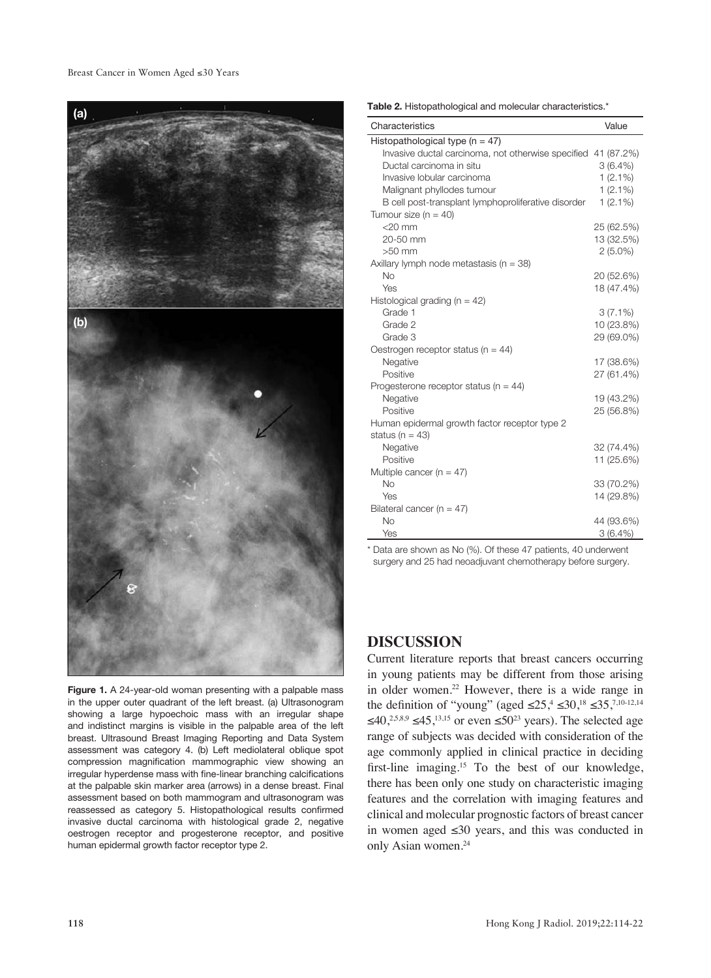#### Breast Cancer in Women Aged ≤30 Years



Figure 1. A 24-year-old woman presenting with a palpable mass in the upper outer quadrant of the left breast. (a) Ultrasonogram showing a large hypoechoic mass with an irregular shape and indistinct margins is visible in the palpable area of the left breast. Ultrasound Breast Imaging Reporting and Data System assessment was category 4. (b) Left mediolateral oblique spot compression magnification mammographic view showing an irregular hyperdense mass with fine-linear branching calcifications at the palpable skin marker area (arrows) in a dense breast. Final assessment based on both mammogram and ultrasonogram was reassessed as category 5. Histopathological results confirmed invasive ductal carcinoma with histological grade 2, negative oestrogen receptor and progesterone receptor, and positive human epidermal growth factor receptor type 2.

**Table 2.** Histopathological and molecular characteristics.\*

| Characteristics                                               | Value      |
|---------------------------------------------------------------|------------|
| Histopathological type ( $n = 47$ )                           |            |
| Invasive ductal carcinoma, not otherwise specified 41 (87.2%) |            |
| Ductal carcinoma in situ                                      | $3(6.4\%)$ |
| Invasive lobular carcinoma                                    | $1(2.1\%)$ |
| Malignant phyllodes tumour                                    | $1(2.1\%)$ |
| B cell post-transplant lymphoproliferative disorder           | $1(2.1\%)$ |
| Tumour size ( $n = 40$ )                                      |            |
| $<$ 20 mm                                                     | 25 (62.5%) |
| 20-50 mm                                                      | 13 (32.5%) |
| $>50$ mm                                                      | $2(5.0\%)$ |
| Axillary lymph node metastasis ( $n = 38$ )                   |            |
| <b>No</b>                                                     | 20 (52.6%) |
| Yes                                                           | 18 (47.4%) |
| Histological grading ( $n = 42$ )                             |            |
| Grade 1                                                       | $3(7.1\%)$ |
| Grade 2                                                       | 10 (23.8%) |
| Grade 3                                                       | 29 (69.0%) |
| Oestrogen receptor status ( $n = 44$ )                        |            |
| Negative                                                      | 17 (38.6%) |
| Positive                                                      | 27 (61.4%) |
| Progesterone receptor status ( $n = 44$ )                     |            |
| Negative                                                      | 19 (43.2%) |
| Positive                                                      | 25 (56.8%) |
| Human epidermal growth factor receptor type 2                 |            |
| status ( $n = 43$ )                                           |            |
| Negative                                                      | 32 (74.4%) |
| Positive                                                      | 11 (25.6%) |
| Multiple cancer ( $n = 47$ )                                  |            |
| <b>No</b>                                                     | 33 (70.2%) |
| Yes                                                           | 14 (29.8%) |
| Bilateral cancer ( $n = 47$ )                                 |            |
| <b>No</b>                                                     | 44 (93.6%) |
| Yes                                                           | 3(6.4%)    |

\* Data are shown as No (%). Of these 47 patients, 40 underwent surgery and 25 had neoadjuvant chemotherapy before surgery.

### **DISCUSSION**

Current literature reports that breast cancers occurring in young patients may be different from those arising in older women.<sup>22</sup> However, there is a wide range in the definition of "young" (aged  $\leq 25$ ,  $\leq 30$ ,  $^{18}$   $\leq 35$ ,  $^{7,10-12,14}$ ≤40,<sup>2,5,8,9</sup> ≤45,<sup>13,15</sup> or even ≤50<sup>23</sup> years). The selected age range of subjects was decided with consideration of the age commonly applied in clinical practice in deciding first-line imaging.15 To the best of our knowledge, there has been only one study on characteristic imaging features and the correlation with imaging features and clinical and molecular prognostic factors of breast cancer in women aged ≤30 years, and this was conducted in only Asian women.24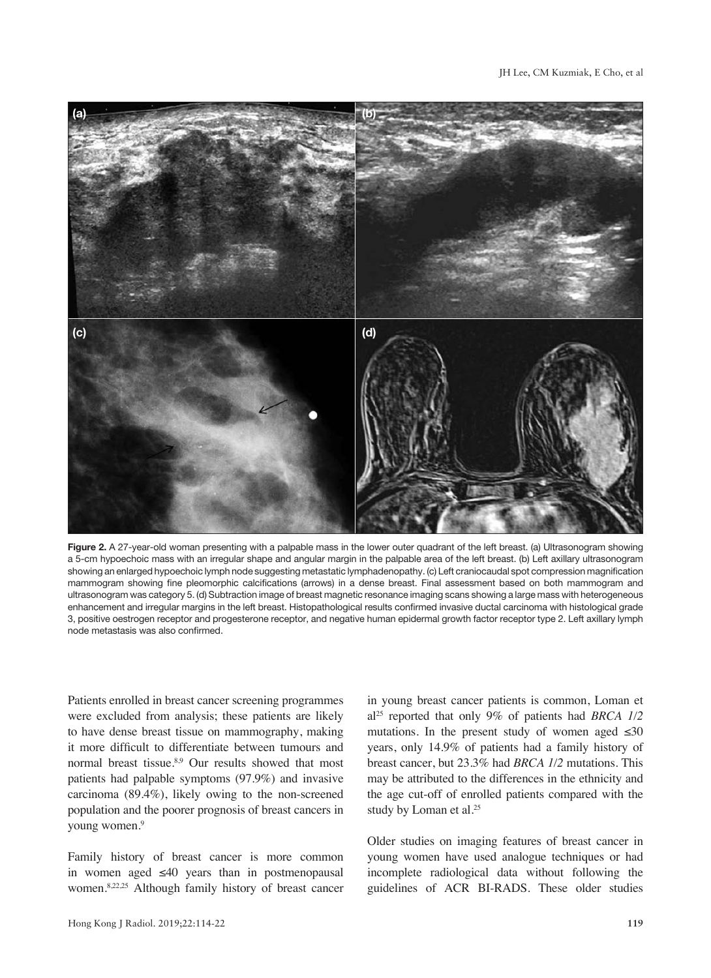

**Figure 2.** A 27-year-old woman presenting with a palpable mass in the lower outer quadrant of the left breast. (a) Ultrasonogram showing a 5-cm hypoechoic mass with an irregular shape and angular margin in the palpable area of the left breast. (b) Left axillary ultrasonogram showing an enlarged hypoechoic lymph node suggesting metastatic lymphadenopathy. (c) Left craniocaudal spot compression magnification mammogram showing fine pleomorphic calcifications (arrows) in a dense breast. Final assessment based on both mammogram and ultrasonogram was category 5. (d) Subtraction image of breast magnetic resonance imaging scans showing a large mass with heterogeneous enhancement and irregular margins in the left breast. Histopathological results confirmed invasive ductal carcinoma with histological grade 3, positive oestrogen receptor and progesterone receptor, and negative human epidermal growth factor receptor type 2. Left axillary lymph node metastasis was also confirmed.

Patients enrolled in breast cancer screening programmes were excluded from analysis; these patients are likely to have dense breast tissue on mammography, making it more difficult to differentiate between tumours and normal breast tissue.<sup>8,9</sup> Our results showed that most patients had palpable symptoms (97.9%) and invasive carcinoma (89.4%), likely owing to the non-screened population and the poorer prognosis of breast cancers in young women.<sup>9</sup>

Family history of breast cancer is more common in women aged ≤40 years than in postmenopausal women.8,22,25 Although family history of breast cancer in young breast cancer patients is common, Loman et al25 reported that only 9% of patients had *BRCA 1/2* mutations. In the present study of women aged  $\leq 30$ years, only 14.9% of patients had a family history of breast cancer, but 23.3% had *BRCA 1/2* mutations. This may be attributed to the differences in the ethnicity and the age cut-off of enrolled patients compared with the study by Loman et al.<sup>25</sup>

Older studies on imaging features of breast cancer in young women have used analogue techniques or had incomplete radiological data without following the guidelines of ACR BI-RADS. These older studies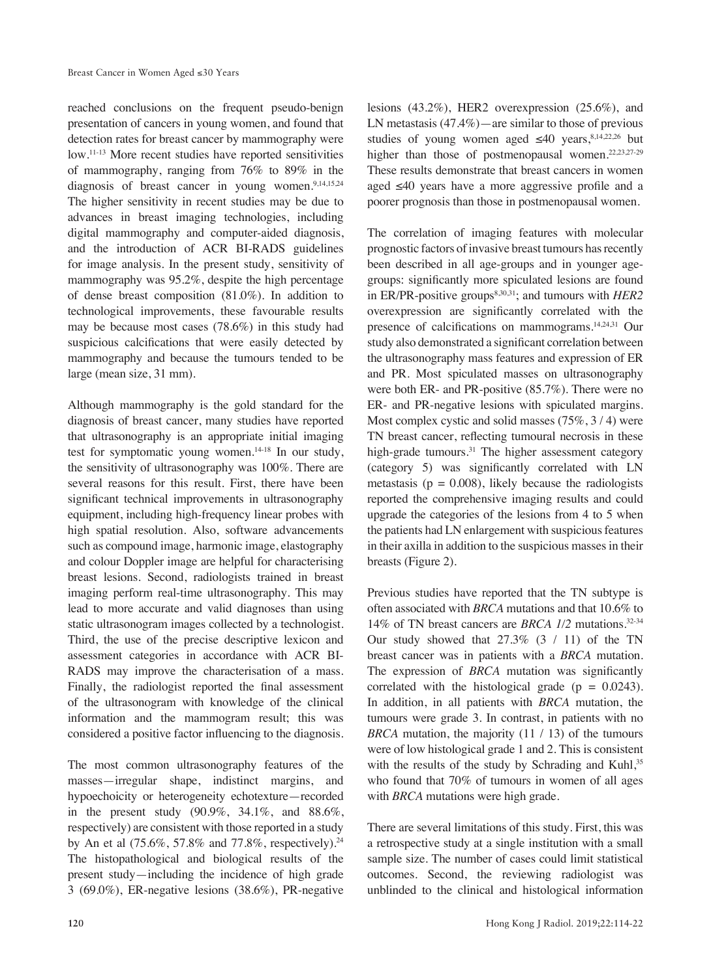reached conclusions on the frequent pseudo-benign presentation of cancers in young women, and found that detection rates for breast cancer by mammography were low.11-13 More recent studies have reported sensitivities of mammography, ranging from 76% to 89% in the diagnosis of breast cancer in young women. $9,14,15,24$ The higher sensitivity in recent studies may be due to advances in breast imaging technologies, including digital mammography and computer-aided diagnosis, and the introduction of ACR BI-RADS guidelines for image analysis. In the present study, sensitivity of mammography was 95.2%, despite the high percentage of dense breast composition (81.0%). In addition to technological improvements, these favourable results may be because most cases (78.6%) in this study had suspicious calcifications that were easily detected by mammography and because the tumours tended to be large (mean size, 31 mm).

Although mammography is the gold standard for the diagnosis of breast cancer, many studies have reported that ultrasonography is an appropriate initial imaging test for symptomatic young women.14-18 In our study, the sensitivity of ultrasonography was 100%. There are several reasons for this result. First, there have been significant technical improvements in ultrasonography equipment, including high-frequency linear probes with high spatial resolution. Also, software advancements such as compound image, harmonic image, elastography and colour Doppler image are helpful for characterising breast lesions. Second, radiologists trained in breast imaging perform real-time ultrasonography. This may lead to more accurate and valid diagnoses than using static ultrasonogram images collected by a technologist. Third, the use of the precise descriptive lexicon and assessment categories in accordance with ACR BI-RADS may improve the characterisation of a mass. Finally, the radiologist reported the final assessment of the ultrasonogram with knowledge of the clinical information and the mammogram result; this was considered a positive factor influencing to the diagnosis.

The most common ultrasonography features of the masses—irregular shape, indistinct margins, and hypoechoicity or heterogeneity echotexture—recorded in the present study (90.9%, 34.1%, and 88.6%, respectively) are consistent with those reported in a study by An et al (75.6%, 57.8% and 77.8%, respectively).<sup>24</sup> The histopathological and biological results of the present study—including the incidence of high grade 3 (69.0%), ER-negative lesions (38.6%), PR-negative

lesions (43.2%), HER2 overexpression (25.6%), and LN metastasis  $(47.4\%)$  — are similar to those of previous studies of young women aged  $\leq 40$  years,<sup>8,14,22,26</sup> but higher than those of postmenopausal women.<sup>22,23,27-29</sup> These results demonstrate that breast cancers in women aged ≤40 years have a more aggressive profile and a poorer prognosis than those in postmenopausal women.

The correlation of imaging features with molecular prognostic factors of invasive breast tumours has recently been described in all age-groups and in younger agegroups: significantly more spiculated lesions are found in ER/PR-positive groups<sup>8,30,31</sup>; and tumours with *HER2* overexpression are significantly correlated with the presence of calcifications on mammograms.14,24,31 Our study also demonstrated a significant correlation between the ultrasonography mass features and expression of ER and PR. Most spiculated masses on ultrasonography were both ER- and PR-positive (85.7%). There were no ER- and PR-negative lesions with spiculated margins. Most complex cystic and solid masses (75%, 3 / 4) were TN breast cancer, reflecting tumoural necrosis in these high-grade tumours.<sup>31</sup> The higher assessment category (category 5) was significantly correlated with LN metastasis ( $p = 0.008$ ), likely because the radiologists reported the comprehensive imaging results and could upgrade the categories of the lesions from 4 to 5 when the patients had LN enlargement with suspicious features in their axilla in addition to the suspicious masses in their breasts (Figure 2).

Previous studies have reported that the TN subtype is often associated with *BRCA* mutations and that 10.6% to 14% of TN breast cancers are *BRCA 1/2* mutations.32-34 Our study showed that  $27.3\%$   $(3 / 11)$  of the TN breast cancer was in patients with a *BRCA* mutation. The expression of *BRCA* mutation was significantly correlated with the histological grade  $(p = 0.0243)$ . In addition, in all patients with *BRCA* mutation, the tumours were grade 3. In contrast, in patients with no *BRCA* mutation, the majority (11 / 13) of the tumours were of low histological grade 1 and 2. This is consistent with the results of the study by Schrading and Kuhl,<sup>35</sup> who found that 70% of tumours in women of all ages with *BRCA* mutations were high grade.

There are several limitations of this study. First, this was a retrospective study at a single institution with a small sample size. The number of cases could limit statistical outcomes. Second, the reviewing radiologist was unblinded to the clinical and histological information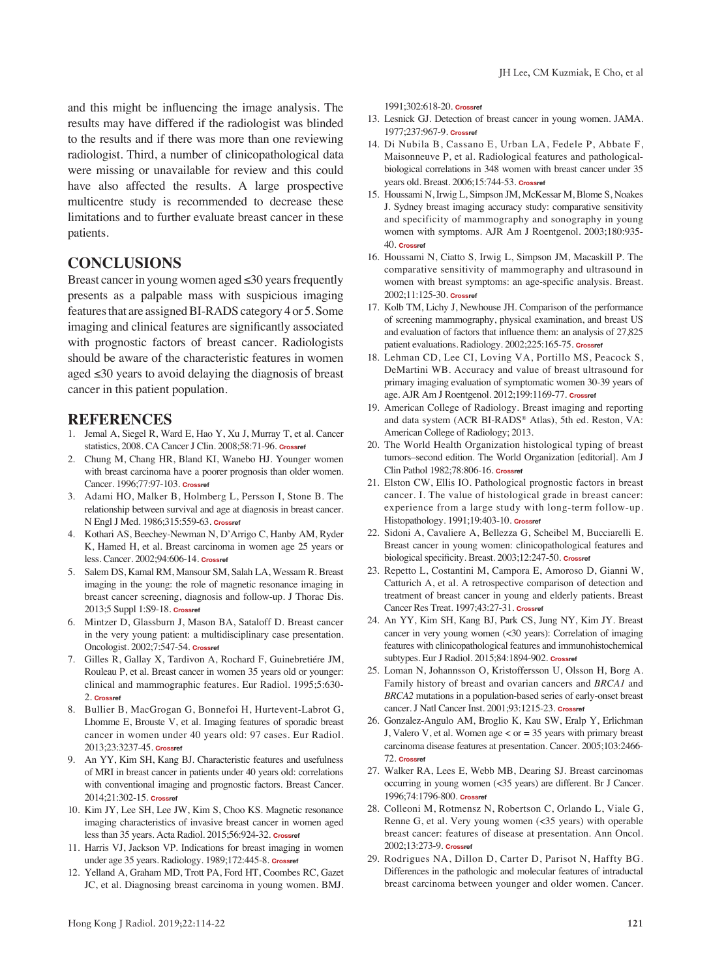and this might be influencing the image analysis. The results may have differed if the radiologist was blinded to the results and if there was more than one reviewing radiologist. Third, a number of clinicopathological data were missing or unavailable for review and this could have also affected the results. A large prospective multicentre study is recommended to decrease these limitations and to further evaluate breast cancer in these patients.

## **CONCLUSIONS**

Breast cancer in young women aged  $\leq 30$  years frequently presents as a palpable mass with suspicious imaging features that are assigned BI-RADS category 4 or 5. Some imaging and clinical features are significantly associated with prognostic factors of breast cancer. Radiologists should be aware of the characteristic features in women aged ≤30 years to avoid delaying the diagnosis of breast cancer in this patient population.

#### **REFERENCES**

- 1. Jemal A, Siegel R, Ward E, Hao Y, Xu J, Murray T, et al. Cancer statistics, 2008. CA Cancer J Clin. 2008;58:71-96. **[Crossref](https://doi.org/10.3322/CA.2007.0010)**
- 2. Chung M, Chang HR, Bland KI, Wanebo HJ. Younger women with breast carcinoma have a poorer prognosis than older women. Cancer. 1996;77:97-103. **[Crossref](https://doi.org/10.1002/(SICI)1097-0142(19960101)77:1<97::AID-CNCR16>3.0.CO;2-3)**
- 3. Adami HO, Malker B, Holmberg L, Persson I, Stone B. The relationship between survival and age at diagnosis in breast cancer. N Engl J Med. 1986;315:559-63. **[Crossref](https://doi.org/10.1056/NEJM198608283150906)**
- 4. Kothari AS, Beechey-Newman N, D'Arrigo C, Hanby AM, Ryder K, Hamed H, et al. Breast carcinoma in women age 25 years or less. Cancer. 2002;94:606-14. **[Crossref](https://doi.org/10.1002/cncr.10273)**
- 5. Salem DS, Kamal RM, Mansour SM, Salah LA, Wessam R. Breast imaging in the young: the role of magnetic resonance imaging in breast cancer screening, diagnosis and follow-up. J Thorac Dis. 2013;5 Suppl 1:S9-18. **[Crossref](https://doi.org/10.3978/j.issn.2072-1439.2013.05.02)**
- 6. Mintzer D, Glassburn J, Mason BA, Sataloff D. Breast cancer in the very young patient: a multidisciplinary case presentation. Oncologist. 2002;7:547-54. **[Crossref](https://doi.org/10.1634/theoncologist.7-6-547)**
- 7. Gilles R, Gallay X, Tardivon A, Rochard F, Guinebretiére JM, Rouleau P, et al. Breast cancer in women 35 years old or younger: clinical and mammographic features. Eur Radiol. 1995;5:630- 2. **[Crossref](https://doi.org/10.1007/BF00190930)**
- 8. Bullier B, MacGrogan G, Bonnefoi H, Hurtevent-Labrot G, Lhomme E, Brouste V, et al. Imaging features of sporadic breast cancer in women under 40 years old: 97 cases. Eur Radiol. 2013;23:3237-45. **[Crossref](https://doi.org/10.1007/s00330-013-2966-z)**
- 9. An YY, Kim SH, Kang BJ. Characteristic features and usefulness of MRI in breast cancer in patients under 40 years old: correlations with conventional imaging and prognostic factors. Breast Cancer. 2014;21:302-15. **[Crossref](https://doi.org/10.1007/s12282-012-0383-9)**
- 10. Kim JY, Lee SH, Lee JW, Kim S, Choo KS. Magnetic resonance imaging characteristics of invasive breast cancer in women aged less than 35 years. Acta Radiol. 2015;56:924-32. **[Crossref](https://doi.org/10.1177/0284185114542365)**
- 11. Harris VJ, Jackson VP. Indications for breast imaging in women under age 35 years. Radiology. 1989;172:445-8. **[Crossref](https://doi.org/10.1148/radiology.172.2.2664867)**
- 12. Yelland A, Graham MD, Trott PA, Ford HT, Coombes RC, Gazet JC, et al. Diagnosing breast carcinoma in young women. BMJ.

1991;302:618-20. **[Crossref](https://doi.org/10.1136/bmj.302.6777.618)**

- 13. Lesnick GJ. Detection of breast cancer in young women. JAMA. 1977;237:967-9. **[Crossref](https://doi.org/10.1001/jama.1977.03270370039018)**
- 14. Di Nubila B, Cassano E, Urban LA, Fedele P, Abbate F, Maisonneuve P, et al. Radiological features and pathologicalbiological correlations in 348 women with breast cancer under 35 years old. Breast. 2006;15:744-53. **[Crossref](https://doi.org/10.1016/j.breast.2006.02.006)**
- 15. Houssami N, Irwig L, Simpson JM, McKessar M, Blome S, Noakes J. Sydney breast imaging accuracy study: comparative sensitivity and specificity of mammography and sonography in young women with symptoms. AJR Am J Roentgenol. 2003;180:935- 40. **[Crossref](https://doi.org/10.2214/ajr.180.4.1800935)**
- 16. Houssami N, Ciatto S, Irwig L, Simpson JM, Macaskill P. The comparative sensitivity of mammography and ultrasound in women with breast symptoms: an age-specific analysis. Breast. 2002;11:125-30. **[Crossref](https://doi.org/10.1054/brst.2001.0391)**
- 17. Kolb TM, Lichy J, Newhouse JH. Comparison of the performance of screening mammography, physical examination, and breast US and evaluation of factors that influence them: an analysis of 27,825 patient evaluations. Radiology. 2002;225:165-75. **[Crossref](https://doi.org/10.1148/radiol.2251011667)**
- 18. Lehman CD, Lee CI, Loving VA, Portillo MS, Peacock S, DeMartini WB. Accuracy and value of breast ultrasound for primary imaging evaluation of symptomatic women 30-39 years of age. AJR Am J Roentgenol. 2012;199:1169-77. **[Crossref](https://doi.org/10.2214/AJR.12.8842)**
- 19. American College of Radiology. Breast imaging and reporting and data system (ACR BI-RADS® Atlas), 5th ed. Reston, VA: American College of Radiology; 2013.
- 20. The World Health Organization histological typing of breast tumors–second edition. The World Organization [editorial]. Am J Clin Pathol 1982;78:806-16. **[Crossref](https://doi.org/10.1093/ajcp/78.6.806)**
- 21. Elston CW, Ellis IO. Pathological prognostic factors in breast cancer. I. The value of histological grade in breast cancer: experience from a large study with long-term follow-up. Histopathology. 1991;19:403-10. **[Crossref](https://doi.org/10.1111/j.1365-2559.1991.tb00229.x)**
- 22. Sidoni A, Cavaliere A, Bellezza G, Scheibel M, Bucciarelli E. Breast cancer in young women: clinicopathological features and biological specificity. Breast. 2003;12:247-50. **[Crossref](https://doi.org/10.1016/S0960-9776(03)00095-X)**
- 23. Repetto L, Costantini M, Campora E, Amoroso D, Gianni W, Catturich A, et al. A retrospective comparison of detection and treatment of breast cancer in young and elderly patients. Breast Cancer Res Treat. 1997;43:27-31. **[Crossref](https://doi.org/10.1023/A:1005784208787)**
- 24. An YY, Kim SH, Kang BJ, Park CS, Jung NY, Kim JY. Breast cancer in very young women (<30 years): Correlation of imaging features with clinicopathological features and immunohistochemical subtypes. Eur J Radiol. 2015;84:1894-902. **[Crossref](https://doi.org/10.1016/j.ejrad.2015.07.002)**
- 25. Loman N, Johannsson O, Kristoffersson U, Olsson H, Borg A. Family history of breast and ovarian cancers and *BRCA1* and *BRCA2* mutations in a population-based series of early-onset breast cancer. J Natl Cancer Inst. 2001;93:1215-23. **[Crossref](https://doi.org/10.1093/jnci/93.16.1215)**
- 26. Gonzalez-Angulo AM, Broglio K, Kau SW, Eralp Y, Erlichman J, Valero V, et al. Women age < or = 35 years with primary breast carcinoma disease features at presentation. Cancer. 2005;103:2466- 72. **[Crossref](https://doi.org/10.1002/cncr.21070)**
- 27. Walker RA, Lees E, Webb MB, Dearing SJ. Breast carcinomas occurring in young women (<35 years) are different. Br J Cancer. 1996;74:1796-800. **[Crossref](https://doi.org/10.1038/bjc.1996.632)**
- 28. Colleoni M, Rotmensz N, Robertson C, Orlando L, Viale G, Renne G, et al. Very young women (<35 years) with operable breast cancer: features of disease at presentation. Ann Oncol. 2002;13:273-9. **[Crossref](https://doi.org/10.1093/annonc/mdf039)**
- 29. Rodrigues NA, Dillon D, Carter D, Parisot N, Haffty BG. Differences in the pathologic and molecular features of intraductal breast carcinoma between younger and older women. Cancer.